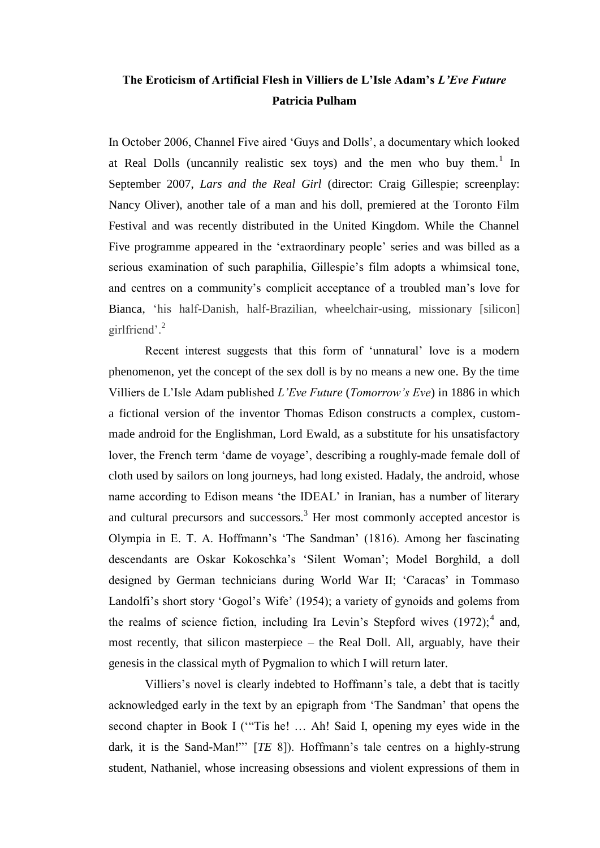# **The Eroticism of Artificial Flesh in Villiers de L'Isle Adam's** *L'Eve Future* **Patricia Pulham**

In October 2006, Channel Five aired 'Guys and Dolls', a documentary which looked at Real Dolls (uncannily realistic sex toys) and the men who buy them.<sup>1</sup> In September 2007, *Lars and the Real Girl* (director: Craig Gillespie; screenplay: Nancy Oliver), another tale of a man and his doll, premiered at the Toronto Film Festival and was recently distributed in the United Kingdom. While the Channel Five programme appeared in the 'extraordinary people' series and was billed as a serious examination of such paraphilia, Gillespie's film adopts a whimsical tone, and centres on a community's complicit acceptance of a troubled man's love for Bianca, 'his half-Danish, half-Brazilian, wheelchair-using, missionary [silicon] girlfriend'. $^{2}$ 

Recent interest suggests that this form of 'unnatural' love is a modern phenomenon, yet the concept of the sex doll is by no means a new one. By the time Villiers de L'Isle Adam published *L'Eve Future* (*Tomorrow's Eve*) in 1886 in which a fictional version of the inventor Thomas Edison constructs a complex, custommade android for the Englishman, Lord Ewald, as a substitute for his unsatisfactory lover, the French term 'dame de voyage', describing a roughly-made female doll of cloth used by sailors on long journeys, had long existed. Hadaly, the android, whose name according to Edison means 'the IDEAL' in Iranian, has a number of literary and cultural precursors and successors.<sup>3</sup> Her most commonly accepted ancestor is Olympia in E. T. A. Hoffmann's ‗The Sandman' (1816). Among her fascinating descendants are Oskar Kokoschka's ‗Silent Woman'; Model Borghild, a doll designed by German technicians during World War II; ‗Caracas' in Tommaso Landolfi's short story 'Gogol's Wife' (1954); a variety of gynoids and golems from the realms of science fiction, including Ira Levin's Stepford wives  $(1972)$ ;<sup>4</sup> and, most recently, that silicon masterpiece – the Real Doll. All, arguably, have their genesis in the classical myth of Pygmalion to which I will return later.

Villiers's novel is clearly indebted to Hoffmann's tale, a debt that is tacitly acknowledged early in the text by an epigraph from 'The Sandman' that opens the second chapter in Book I ("Tis he! ... Ah! Said I, opening my eyes wide in the dark, it is the Sand-Man!" [*TE* 8]). Hoffmann's tale centres on a highly-strung student, Nathaniel, whose increasing obsessions and violent expressions of them in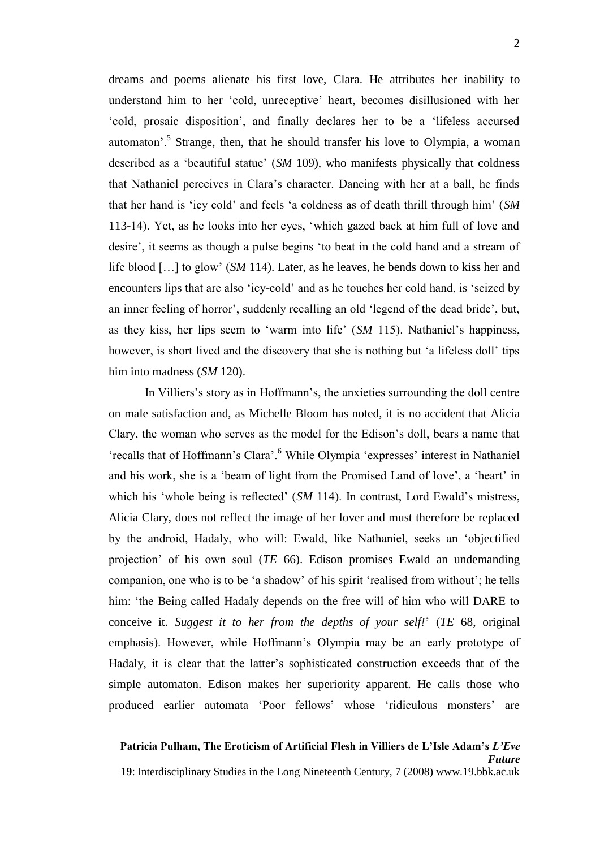dreams and poems alienate his first love, Clara. He attributes her inability to understand him to her ‗cold, unreceptive' heart, becomes disillusioned with her ‗cold, prosaic disposition', and finally declares her to be a ‗lifeless accursed automaton'.<sup>5</sup> Strange, then, that he should transfer his love to Olympia, a woman described as a 'beautiful statue' (*SM* 109), who manifests physically that coldness that Nathaniel perceives in Clara's character. Dancing with her at a ball, he finds that her hand is ‗icy cold' and feels ‗a coldness as of death thrill through him' (*SM* 113-14). Yet, as he looks into her eyes, ‗which gazed back at him full of love and desire', it seems as though a pulse begins 'to beat in the cold hand and a stream of life blood […] to glow' (*SM* 114). Later, as he leaves, he bends down to kiss her and encounters lips that are also 'icy-cold' and as he touches her cold hand, is 'seized by an inner feeling of horror', suddenly recalling an old 'legend of the dead bride', but, as they kiss, her lips seem to 'warm into life' (*SM* 115). Nathaniel's happiness, however, is short lived and the discovery that she is nothing but 'a lifeless doll' tips him into madness (*SM* 120).

In Villiers's story as in Hoffmann's, the anxieties surrounding the doll centre on male satisfaction and, as Michelle Bloom has noted, it is no accident that Alicia Clary, the woman who serves as the model for the Edison's doll, bears a name that ‗recalls that of Hoffmann's Clara'.<sup>6</sup> While Olympia ‗expresses' interest in Nathaniel and his work, she is a 'beam of light from the Promised Land of love', a 'heart' in which his 'whole being is reflected' (*SM* 114). In contrast, Lord Ewald's mistress, Alicia Clary, does not reflect the image of her lover and must therefore be replaced by the android, Hadaly, who will: Ewald, like Nathaniel, seeks an 'objectified projection' of his own soul (*TE* 66). Edison promises Ewald an undemanding companion, one who is to be 'a shadow' of his spirit 'realised from without'; he tells him: 'the Being called Hadaly depends on the free will of him who will DARE to conceive it. *Suggest it to her from the depths of your self!*' (*TE* 68, original emphasis). However, while Hoffmann's Olympia may be an early prototype of Hadaly, it is clear that the latter's sophisticated construction exceeds that of the simple automaton. Edison makes her superiority apparent. He calls those who produced earlier automata 'Poor fellows' whose 'ridiculous monsters' are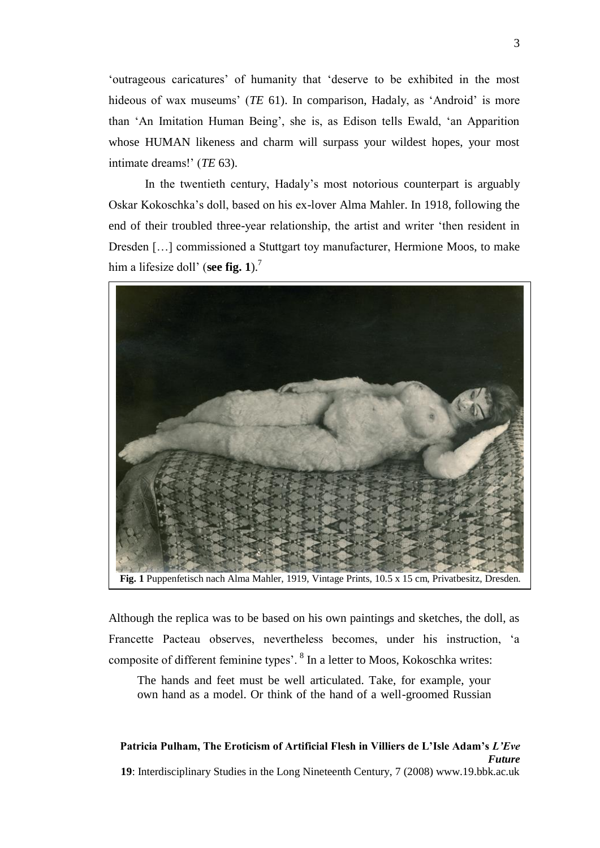‗outrageous caricatures' of humanity that ‗deserve to be exhibited in the most hideous of wax museums' (*TE* 61). In comparison, Hadaly, as 'Android' is more than ‗An Imitation Human Being', she is, as Edison tells Ewald, ‗an Apparition whose HUMAN likeness and charm will surpass your wildest hopes, your most intimate dreams!' (*TE* 63).

In the twentieth century, Hadaly's most notorious counterpart is arguably Oskar Kokoschka's doll, based on his ex-lover Alma Mahler. In 1918, following the end of their troubled three-year relationship, the artist and writer 'then resident in Dresden […] commissioned a Stuttgart toy manufacturer, Hermione Moos, to make him a lifesize doll' (**see fig. 1**).<sup>7</sup>



**Fig. 1** Puppenfetisch nach Alma Mahler, 1919, Vintage Prints, 10.5 x 15 cm, Privatbesitz, Dresden.

Although the replica was to be based on his own paintings and sketches, the doll, as Francette Pacteau observes, nevertheless becomes, under his instruction, 'a composite of different feminine types'. <sup>8</sup> In a letter to Moos, Kokoschka writes:

The hands and feet must be well articulated. Take, for example, your own hand as a model. Or think of the hand of a well-groomed Russian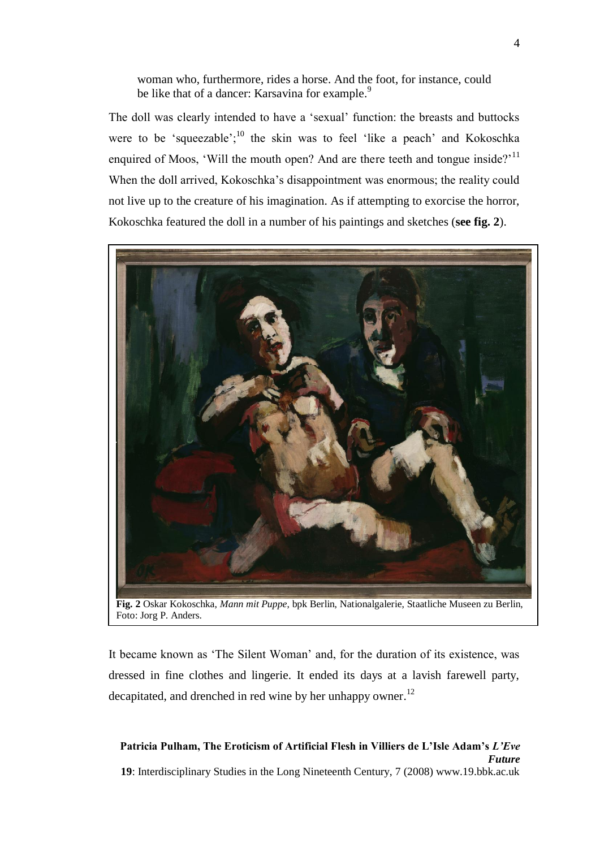woman who, furthermore, rides a horse. And the foot, for instance, could be like that of a dancer: Karsavina for example.<sup>9</sup>

The doll was clearly intended to have a 'sexual' function: the breasts and buttocks were to be 'squeezable'; $^{10}$  the skin was to feel 'like a peach' and Kokoschka enquired of Moos, 'Will the mouth open? And are there teeth and tongue inside?'<sup>11</sup> When the doll arrived, Kokoschka's disappointment was enormous; the reality could not live up to the creature of his imagination. As if attempting to exorcise the horror, Kokoschka featured the doll in a number of his paintings and sketches (**see fig. 2**).



**Fig. 2** Oskar Kokoschka, *Mann mit Puppe*, bpk Berlin, Nationalgalerie, Staatliche Museen zu Berlin, Foto: Jorg P. Anders.

It became known as 'The Silent Woman' and, for the duration of its existence, was dressed in fine clothes and lingerie. It ended its days at a lavish farewell party, decapitated, and drenched in red wine by her unhappy owner.<sup>12</sup>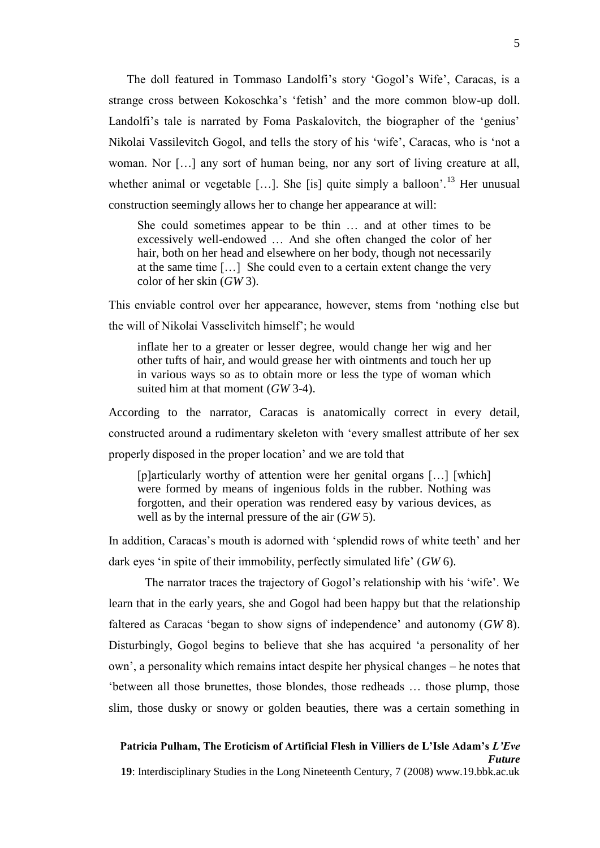The doll featured in Tommaso Landolfi's story 'Gogol's Wife', Caracas, is a strange cross between Kokoschka's 'fetish' and the more common blow-up doll. Landolfi's tale is narrated by Foma Paskalovitch, the biographer of the 'genius' Nikolai Vassilevitch Gogol, and tells the story of his 'wife', Caracas, who is 'not a woman. Nor […] any sort of human being, nor any sort of living creature at all, whether animal or vegetable [...]. She [is] quite simply a balloon'.<sup>13</sup> Her unusual construction seemingly allows her to change her appearance at will:

She could sometimes appear to be thin … and at other times to be excessively well-endowed … And she often changed the color of her hair, both on her head and elsewhere on her body, though not necessarily at the same time […] She could even to a certain extent change the very color of her skin (*GW* 3).

This enviable control over her appearance, however, stems from 'nothing else but the will of Nikolai Vasselivitch himself'; he would

inflate her to a greater or lesser degree, would change her wig and her other tufts of hair, and would grease her with ointments and touch her up in various ways so as to obtain more or less the type of woman which suited him at that moment (*GW* 3-4).

According to the narrator, Caracas is anatomically correct in every detail, constructed around a rudimentary skeleton with 'every smallest attribute of her sex properly disposed in the proper location' and we are told that

[p]articularly worthy of attention were her genital organs [...] [which] were formed by means of ingenious folds in the rubber. Nothing was forgotten, and their operation was rendered easy by various devices, as well as by the internal pressure of the air (*GW* 5).

In addition, Caracas's mouth is adorned with 'splendid rows of white teeth' and her dark eyes ‗in spite of their immobility, perfectly simulated life' (*GW* 6).

The narrator traces the trajectory of Gogol's relationship with his 'wife'. We learn that in the early years, she and Gogol had been happy but that the relationship faltered as Caracas ‗began to show signs of independence' and autonomy (*GW* 8). Disturbingly, Gogol begins to believe that she has acquired 'a personality of her own', a personality which remains intact despite her physical changes – he notes that ‗between all those brunettes, those blondes, those redheads … those plump, those slim, those dusky or snowy or golden beauties, there was a certain something in

## **Patricia Pulham, The Eroticism of Artificial Flesh in Villiers de L'Isle Adam's** *L'Eve Future*

**19**: Interdisciplinary Studies in the Long Nineteenth Century, 7 (2008) www.19.bbk.ac.uk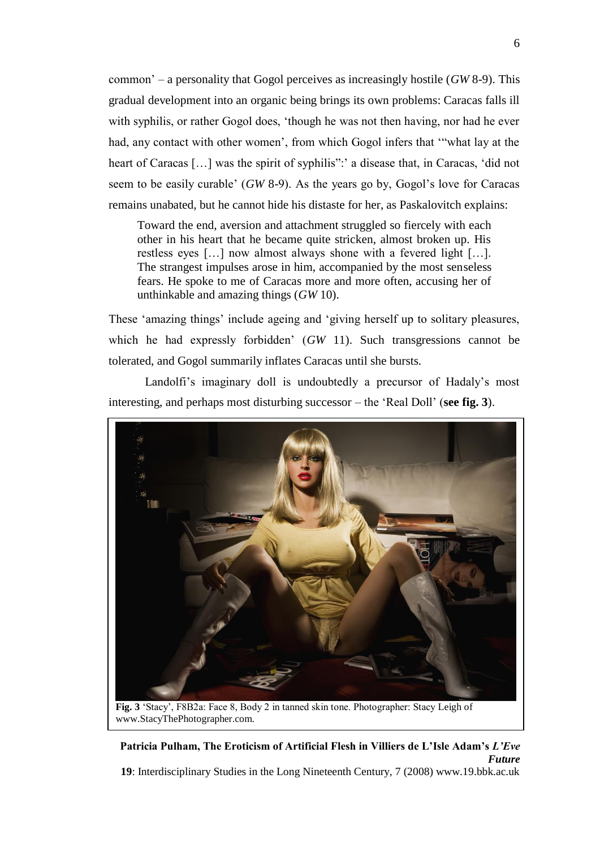common' – a personality that Gogol perceives as increasingly hostile (*GW* 8-9). This gradual development into an organic being brings its own problems: Caracas falls ill with syphilis, or rather Gogol does, 'though he was not then having, nor had he ever had, any contact with other women', from which Gogol infers that "what lay at the heart of Caracas [...] was the spirit of syphilis": a disease that, in Caracas, 'did not seem to be easily curable' (*GW* 8-9). As the years go by, Gogol's love for Caracas remains unabated, but he cannot hide his distaste for her, as Paskalovitch explains:

Toward the end, aversion and attachment struggled so fiercely with each other in his heart that he became quite stricken, almost broken up. His restless eyes […] now almost always shone with a fevered light […]. The strangest impulses arose in him, accompanied by the most senseless fears. He spoke to me of Caracas more and more often, accusing her of unthinkable and amazing things (*GW* 10).

These 'amazing things' include ageing and 'giving herself up to solitary pleasures, which he had expressly forbidden' (*GW* 11). Such transgressions cannot be tolerated, and Gogol summarily inflates Caracas until she bursts.

Landolfi's imaginary doll is undoubtedly a precursor of Hadaly's most interesting, and perhaps most disturbing successor – the 'Real Doll' (**see fig. 3**).

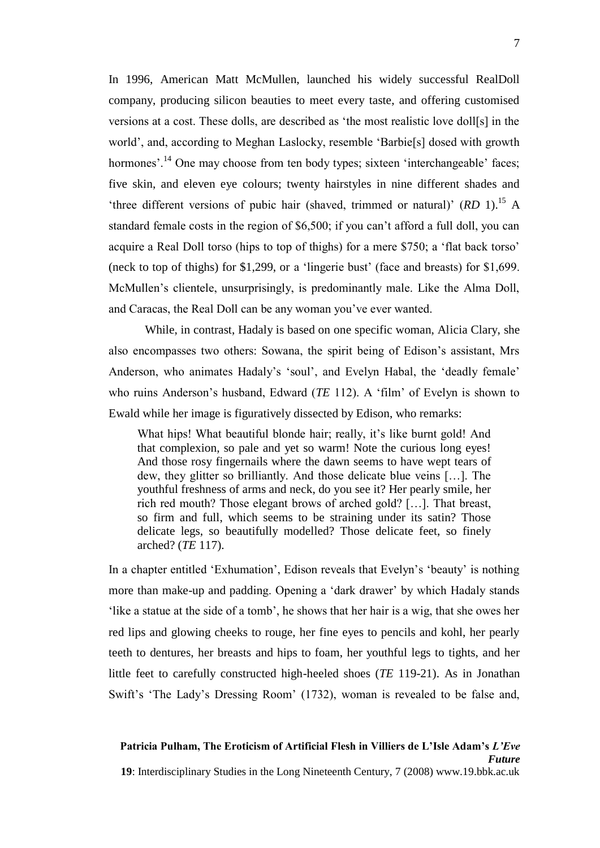In 1996, American Matt McMullen, launched his widely successful RealDoll company, producing silicon beauties to meet every taste, and offering customised versions at a cost. These dolls, are described as ‗the most realistic love doll[s] in the world', and, according to Meghan Laslocky, resemble 'Barbie[s] dosed with growth hormones'.<sup>14</sup> One may choose from ten body types; sixteen 'interchangeable' faces; five skin, and eleven eye colours; twenty hairstyles in nine different shades and 'three different versions of pubic hair (shaved, trimmed or natural)' (*RD* 1).<sup>15</sup> A standard female costs in the region of \$6,500; if you can't afford a full doll, you can acquire a Real Doll torso (hips to top of thighs) for a mere \$750; a 'flat back torso' (neck to top of thighs) for  $$1,299$ , or a 'lingerie bust' (face and breasts) for  $$1,699$ . McMullen's clientele, unsurprisingly, is predominantly male. Like the Alma Doll, and Caracas, the Real Doll can be any woman you've ever wanted.

While, in contrast, Hadaly is based on one specific woman, Alicia Clary, she also encompasses two others: Sowana, the spirit being of Edison's assistant, Mrs Anderson, who animates Hadaly's 'soul', and Evelyn Habal, the 'deadly female' who ruins Anderson's husband, Edward (*TE* 112). A 'film' of Evelyn is shown to Ewald while her image is figuratively dissected by Edison, who remarks:

What hips! What beautiful blonde hair; really, it's like burnt gold! And that complexion, so pale and yet so warm! Note the curious long eyes! And those rosy fingernails where the dawn seems to have wept tears of dew, they glitter so brilliantly. And those delicate blue veins […]. The youthful freshness of arms and neck, do you see it? Her pearly smile, her rich red mouth? Those elegant brows of arched gold? […]. That breast, so firm and full, which seems to be straining under its satin? Those delicate legs, so beautifully modelled? Those delicate feet, so finely arched? (*TE* 117).

In a chapter entitled 'Exhumation', Edison reveals that Evelyn's 'beauty' is nothing more than make-up and padding. Opening a 'dark drawer' by which Hadaly stands like a statue at the side of a tomb', he shows that her hair is a wig, that she owes her red lips and glowing cheeks to rouge, her fine eyes to pencils and kohl, her pearly teeth to dentures, her breasts and hips to foam, her youthful legs to tights, and her little feet to carefully constructed high-heeled shoes (*TE* 119-21). As in Jonathan Swift's 'The Lady's Dressing Room' (1732), woman is revealed to be false and,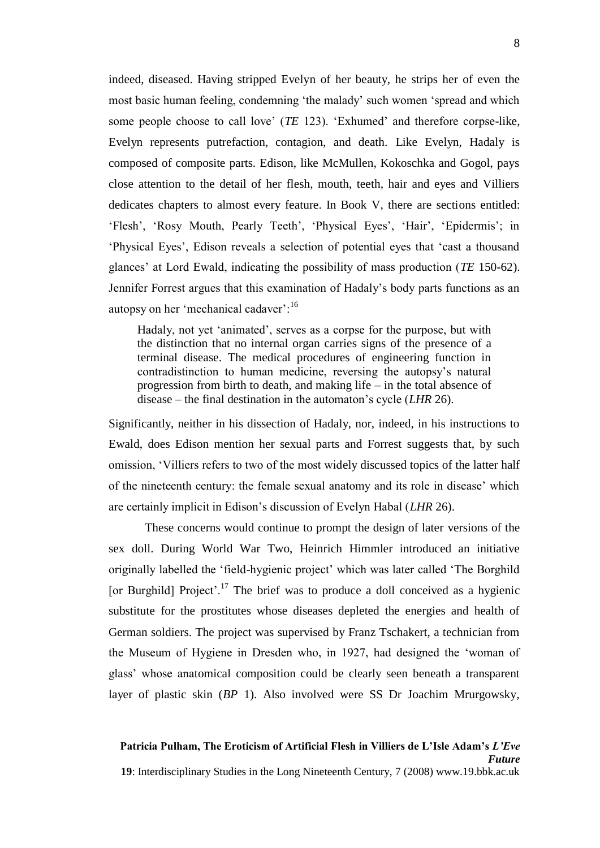indeed, diseased. Having stripped Evelyn of her beauty, he strips her of even the most basic human feeling, condemning 'the malady' such women 'spread and which some people choose to call love' (*TE* 123). 'Exhumed' and therefore corpse-like, Evelyn represents putrefaction, contagion, and death. Like Evelyn, Hadaly is composed of composite parts. Edison, like McMullen, Kokoschka and Gogol, pays close attention to the detail of her flesh, mouth, teeth, hair and eyes and Villiers dedicates chapters to almost every feature. In Book V, there are sections entitled: ‗Flesh', ‗Rosy Mouth, Pearly Teeth', ‗Physical Eyes', ‗Hair', ‗Epidermis'; in ‗Physical Eyes', Edison reveals a selection of potential eyes that ‗cast a thousand glances' at Lord Ewald, indicating the possibility of mass production (*TE* 150-62). Jennifer Forrest argues that this examination of Hadaly's body parts functions as an autopsy on her 'mechanical cadaver':<sup>16</sup>

Hadaly, not yet 'animated', serves as a corpse for the purpose, but with the distinction that no internal organ carries signs of the presence of a terminal disease. The medical procedures of engineering function in contradistinction to human medicine, reversing the autopsy's natural progression from birth to death, and making life – in the total absence of disease – the final destination in the automaton's cycle (*LHR* 26).

Significantly, neither in his dissection of Hadaly, nor, indeed, in his instructions to Ewald, does Edison mention her sexual parts and Forrest suggests that, by such omission, ‗Villiers refers to two of the most widely discussed topics of the latter half of the nineteenth century: the female sexual anatomy and its role in disease' which are certainly implicit in Edison's discussion of Evelyn Habal (*LHR* 26).

These concerns would continue to prompt the design of later versions of the sex doll. During World War Two, Heinrich Himmler introduced an initiative originally labelled the 'field-hygienic project' which was later called 'The Borghild' [or Burghild] Project'.<sup>17</sup> The brief was to produce a doll conceived as a hygienic substitute for the prostitutes whose diseases depleted the energies and health of German soldiers. The project was supervised by Franz Tschakert, a technician from the Museum of Hygiene in Dresden who, in 1927, had designed the 'woman of glass' whose anatomical composition could be clearly seen beneath a transparent layer of plastic skin (*BP* 1). Also involved were SS Dr Joachim Mrurgowsky,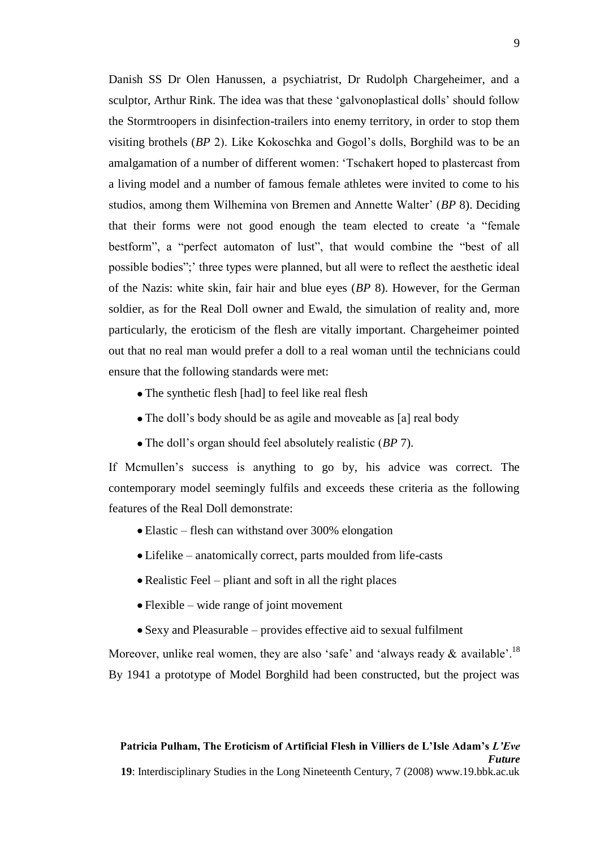Danish SS Dr Olen Hanussen, a psychiatrist, Dr Rudolph Chargeheimer, and a sculptor, Arthur Rink. The idea was that these 'galvonoplastical dolls' should follow the Stormtroopers in disinfection-trailers into enemy territory, in order to stop them visiting brothels (*BP* 2). Like Kokoschka and Gogol's dolls, Borghild was to be an amalgamation of a number of different women: ‗Tschakert hoped to plastercast from a living model and a number of famous female athletes were invited to come to his studios, among them Wilhemina von Bremen and Annette Walter' (*BP* 8). Deciding that their forms were not good enough the team elected to create 'a "female bestform", a "perfect automaton of lust", that would combine the "best of all possible bodies";' three types were planned, but all were to reflect the aesthetic ideal of the Nazis: white skin, fair hair and blue eyes (*BP* 8). However, for the German soldier, as for the Real Doll owner and Ewald, the simulation of reality and, more particularly, the eroticism of the flesh are vitally important. Chargeheimer pointed out that no real man would prefer a doll to a real woman until the technicians could ensure that the following standards were met:

- The synthetic flesh [had] to feel like real flesh
- The doll's body should be as agile and moveable as [a] real body
- The doll's organ should feel absolutely realistic (*BP* 7).

If Mcmullen's success is anything to go by, his advice was correct. The contemporary model seemingly fulfils and exceeds these criteria as the following features of the Real Doll demonstrate:

- Elastic flesh can withstand over 300% elongation
- Lifelike anatomically correct, parts moulded from life-casts
- $\bullet$  Realistic Feel pliant and soft in all the right places
- Flexible wide range of joint movement
- Sexy and Pleasurable provides effective aid to sexual fulfilment

Moreover, unlike real women, they are also 'safe' and 'always ready  $\&$  available'.<sup>18</sup> By 1941 a prototype of Model Borghild had been constructed, but the project was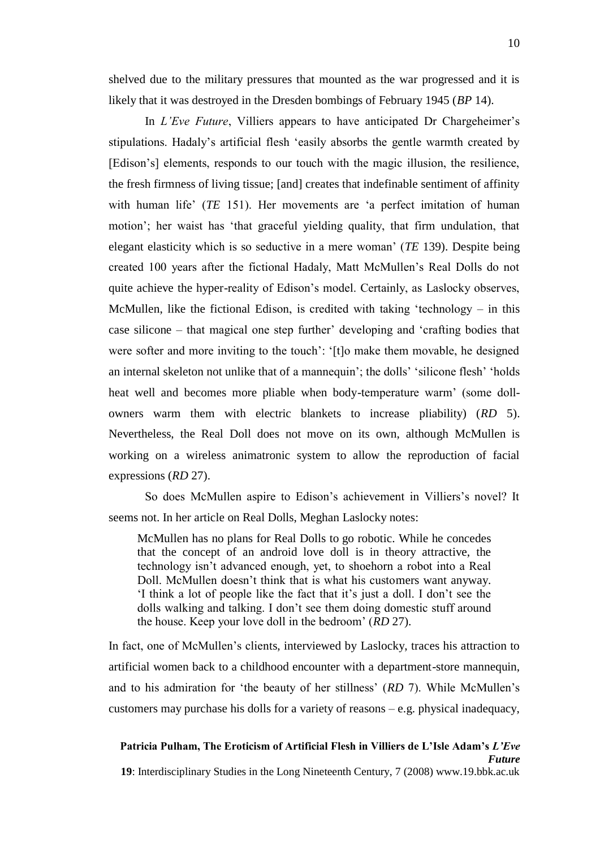shelved due to the military pressures that mounted as the war progressed and it is likely that it was destroyed in the Dresden bombings of February 1945 (*BP* 14).

In *L'Eve Future*, Villiers appears to have anticipated Dr Chargeheimer's stipulations. Hadaly's artificial flesh 'easily absorbs the gentle warmth created by [Edison's] elements, responds to our touch with the magic illusion, the resilience, the fresh firmness of living tissue; [and] creates that indefinable sentiment of affinity with human life' (*TE* 151). Her movements are 'a perfect imitation of human motion'; her waist has 'that graceful yielding quality, that firm undulation, that elegant elasticity which is so seductive in a mere woman' (*TE* 139). Despite being created 100 years after the fictional Hadaly, Matt McMullen's Real Dolls do not quite achieve the hyper-reality of Edison's model. Certainly, as Laslocky observes, McMullen, like the fictional Edison, is credited with taking 'technology – in this case silicone – that magical one step further' developing and ‗crafting bodies that were softer and more inviting to the touch': ‗[t]o make them movable, he designed an internal skeleton not unlike that of a mannequin'; the dolls' 'silicone flesh' 'holds' heat well and becomes more pliable when body-temperature warm' (some dollowners warm them with electric blankets to increase pliability) (*RD* 5). Nevertheless, the Real Doll does not move on its own, although McMullen is working on a wireless animatronic system to allow the reproduction of facial expressions (*RD* 27).

So does McMullen aspire to Edison's achievement in Villiers's novel? It seems not. In her article on Real Dolls, Meghan Laslocky notes:

McMullen has no plans for Real Dolls to go robotic. While he concedes that the concept of an android love doll is in theory attractive, the technology isn't advanced enough, yet, to shoehorn a robot into a Real Doll. McMullen doesn't think that is what his customers want anyway. ‗I think a lot of people like the fact that it's just a doll. I don't see the dolls walking and talking. I don't see them doing domestic stuff around the house. Keep your love doll in the bedroom' (*RD* 27).

In fact, one of McMullen's clients, interviewed by Laslocky, traces his attraction to artificial women back to a childhood encounter with a department-store mannequin, and to his admiration for 'the beauty of her stillness' (*RD* 7). While McMullen's customers may purchase his dolls for a variety of reasons – e.g. physical inadequacy,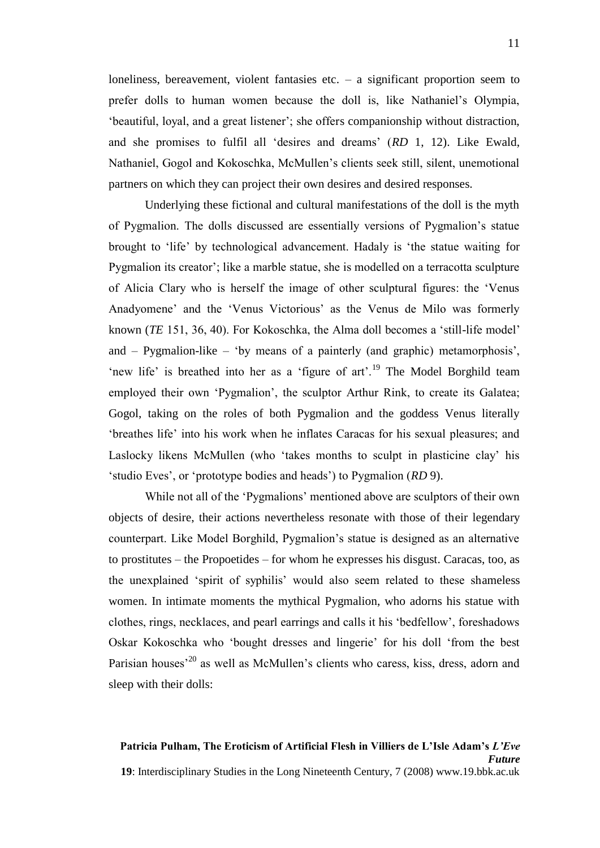loneliness, bereavement, violent fantasies etc.  $-$  a significant proportion seem to prefer dolls to human women because the doll is, like Nathaniel's Olympia, ‗beautiful, loyal, and a great listener'; she offers companionship without distraction, and she promises to fulfil all 'desires and dreams' (*RD* 1, 12). Like Ewald, Nathaniel, Gogol and Kokoschka, McMullen's clients seek still, silent, unemotional partners on which they can project their own desires and desired responses.

Underlying these fictional and cultural manifestations of the doll is the myth of Pygmalion. The dolls discussed are essentially versions of Pygmalion's statue brought to 'life' by technological advancement. Hadaly is 'the statue waiting for Pygmalion its creator'; like a marble statue, she is modelled on a terracotta sculpture of Alicia Clary who is herself the image of other sculptural figures: the 'Venus Anadyomene' and the 'Venus Victorious' as the Venus de Milo was formerly known (*TE* 151, 36, 40). For Kokoschka, the Alma doll becomes a 'still-life model' and  $-$  Pygmalion-like  $-$  'by means of a painterly (and graphic) metamorphosis', 'new life' is breathed into her as a 'figure of  $art'$ <sup>19</sup>. The Model Borghild team employed their own 'Pygmalion', the sculptor Arthur Rink, to create its Galatea; Gogol, taking on the roles of both Pygmalion and the goddess Venus literally 'breathes life' into his work when he inflates Caracas for his sexual pleasures; and Laslocky likens McMullen (who 'takes months to sculpt in plasticine clay' his ‗studio Eves', or ‗prototype bodies and heads') to Pygmalion (*RD* 9).

While not all of the 'Pygmalions' mentioned above are sculptors of their own objects of desire, their actions nevertheless resonate with those of their legendary counterpart. Like Model Borghild, Pygmalion's statue is designed as an alternative to prostitutes – the Propoetides – for whom he expresses his disgust. Caracas, too, as the unexplained ‗spirit of syphilis' would also seem related to these shameless women. In intimate moments the mythical Pygmalion, who adorns his statue with clothes, rings, necklaces, and pearl earrings and calls it his ‗bedfellow', foreshadows Oskar Kokoschka who 'bought dresses and lingerie' for his doll 'from the best Parisian houses<sup>'20</sup> as well as McMullen's clients who caress, kiss, dress, adorn and sleep with their dolls: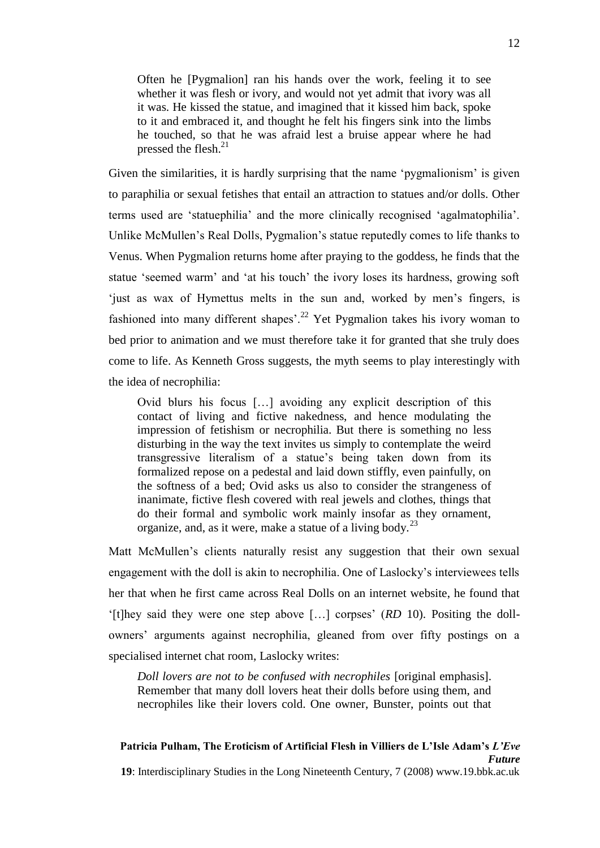Often he [Pygmalion] ran his hands over the work, feeling it to see whether it was flesh or ivory, and would not yet admit that ivory was all it was. He kissed the statue, and imagined that it kissed him back, spoke to it and embraced it, and thought he felt his fingers sink into the limbs he touched, so that he was afraid lest a bruise appear where he had pressed the flesh.<sup>21</sup>

Given the similarities, it is hardly surprising that the name 'pygmalionism' is given to paraphilia or sexual fetishes that entail an attraction to statues and/or dolls. Other terms used are ‗statuephilia' and the more clinically recognised ‗agalmatophilia'. Unlike McMullen's Real Dolls, Pygmalion's statue reputedly comes to life thanks to Venus. When Pygmalion returns home after praying to the goddess, he finds that the statue 'seemed warm' and 'at his touch' the ivory loses its hardness, growing soft ‗just as wax of Hymettus melts in the sun and, worked by men's fingers, is fashioned into many different shapes'.<sup>22</sup> Yet Pygmalion takes his ivory woman to bed prior to animation and we must therefore take it for granted that she truly does come to life. As Kenneth Gross suggests, the myth seems to play interestingly with the idea of necrophilia:

Ovid blurs his focus […] avoiding any explicit description of this contact of living and fictive nakedness, and hence modulating the impression of fetishism or necrophilia. But there is something no less disturbing in the way the text invites us simply to contemplate the weird transgressive literalism of a statue's being taken down from its formalized repose on a pedestal and laid down stiffly, even painfully, on the softness of a bed; Ovid asks us also to consider the strangeness of inanimate, fictive flesh covered with real jewels and clothes, things that do their formal and symbolic work mainly insofar as they ornament, organize, and, as it were, make a statue of a living body.<sup>23</sup>

Matt McMullen's clients naturally resist any suggestion that their own sexual engagement with the doll is akin to necrophilia. One of Laslocky's interviewees tells her that when he first came across Real Dolls on an internet website, he found that ‗[t]hey said they were one step above […] corpses' (*RD* 10). Positing the dollowners' arguments against necrophilia, gleaned from over fifty postings on a specialised internet chat room, Laslocky writes:

*Doll lovers are not to be confused with necrophiles* [original emphasis]. Remember that many doll lovers heat their dolls before using them, and necrophiles like their lovers cold. One owner, Bunster, points out that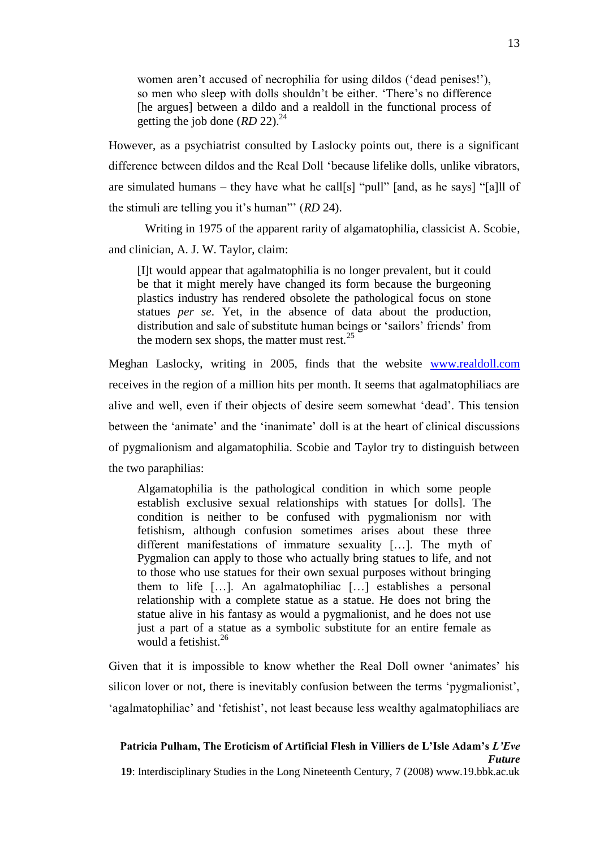women aren't accused of necrophilia for using dildos ('dead penises!'), so men who sleep with dolls shouldn't be either. 'There's no difference [he argues] between a dildo and a realdoll in the functional process of getting the job done  $(RD 22)^{24}$ 

However, as a psychiatrist consulted by Laslocky points out, there is a significant difference between dildos and the Real Doll ‗because lifelike dolls, unlike vibrators, are simulated humans – they have what he call[s] "pull" [and, as he says] "[a]ll of the stimuli are telling you it's human" (*RD* 24).

Writing in 1975 of the apparent rarity of algamatophilia, classicist A. Scobie, and clinician, A. J. W. Taylor, claim:

[I]t would appear that agalmatophilia is no longer prevalent, but it could be that it might merely have changed its form because the burgeoning plastics industry has rendered obsolete the pathological focus on stone statues *per se*. Yet, in the absence of data about the production, distribution and sale of substitute human beings or 'sailors' friends' from the modern sex shops, the matter must rest. $25$ 

Meghan Laslocky, writing in 2005, finds that the website [www.realdoll.com](http://www.realdoll.com/) receives in the region of a million hits per month. It seems that agalmatophiliacs are alive and well, even if their objects of desire seem somewhat ‗dead'. This tension between the ‗animate' and the ‗inanimate' doll is at the heart of clinical discussions of pygmalionism and algamatophilia. Scobie and Taylor try to distinguish between the two paraphilias:

Algamatophilia is the pathological condition in which some people establish exclusive sexual relationships with statues [or dolls]. The condition is neither to be confused with pygmalionism nor with fetishism, although confusion sometimes arises about these three different manifestations of immature sexuality […]. The myth of Pygmalion can apply to those who actually bring statues to life, and not to those who use statues for their own sexual purposes without bringing them to life […]. An agalmatophiliac […] establishes a personal relationship with a complete statue as a statue. He does not bring the statue alive in his fantasy as would a pygmalionist, and he does not use just a part of a statue as a symbolic substitute for an entire female as would a fetishist.<sup>26</sup>

Given that it is impossible to know whether the Real Doll owner ‗animates' his silicon lover or not, there is inevitably confusion between the terms 'pygmalionist', 'agalmatophiliac' and 'fetishist', not least because less wealthy agalmatophiliacs are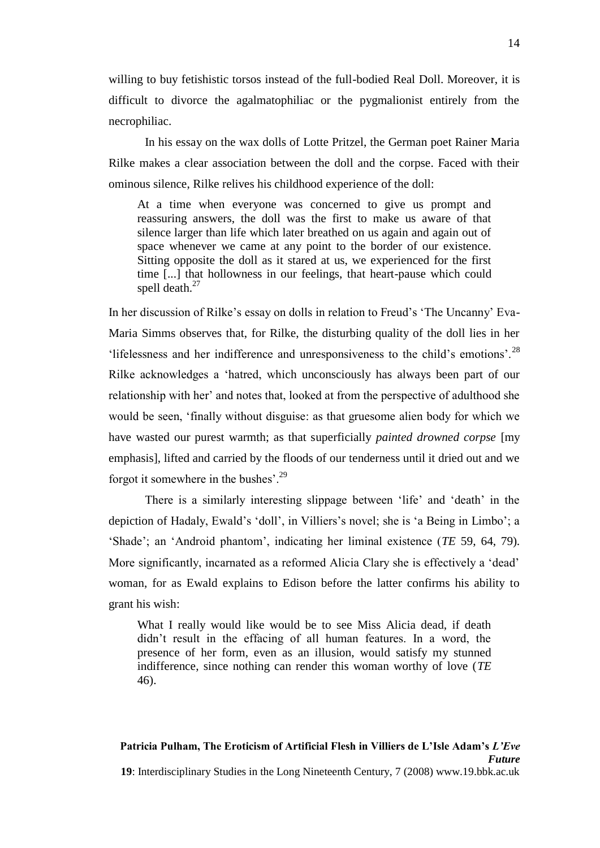willing to buy fetishistic torsos instead of the full-bodied Real Doll. Moreover, it is difficult to divorce the agalmatophiliac or the pygmalionist entirely from the necrophiliac.

In his essay on the wax dolls of Lotte Pritzel, the German poet Rainer Maria Rilke makes a clear association between the doll and the corpse. Faced with their ominous silence, Rilke relives his childhood experience of the doll:

At a time when everyone was concerned to give us prompt and reassuring answers, the doll was the first to make us aware of that silence larger than life which later breathed on us again and again out of space whenever we came at any point to the border of our existence. Sitting opposite the doll as it stared at us, we experienced for the first time [...] that hollowness in our feelings, that heart-pause which could spell death.<sup>27</sup>

In her discussion of Rilke's essay on dolls in relation to Freud's 'The Uncanny' Eva-Maria Simms observes that, for Rilke, the disturbing quality of the doll lies in her 'lifelessness and her indifference and unresponsiveness to the child's emotions'.<sup>28</sup> Rilke acknowledges a 'hatred, which unconsciously has always been part of our relationship with her' and notes that, looked at from the perspective of adulthood she would be seen, ‗finally without disguise: as that gruesome alien body for which we have wasted our purest warmth; as that superficially *painted drowned corpse* [my emphasis], lifted and carried by the floods of our tenderness until it dried out and we forgot it somewhere in the bushes'.<sup>29</sup>

There is a similarly interesting slippage between 'life' and 'death' in the depiction of Hadaly, Ewald's 'doll', in Villiers's novel; she is 'a Being in Limbo'; a ‗Shade'; an ‗Android phantom', indicating her liminal existence (*TE* 59, 64, 79). More significantly, incarnated as a reformed Alicia Clary she is effectively a 'dead' woman, for as Ewald explains to Edison before the latter confirms his ability to grant his wish:

What I really would like would be to see Miss Alicia dead, if death didn't result in the effacing of all human features. In a word, the presence of her form, even as an illusion, would satisfy my stunned indifference, since nothing can render this woman worthy of love (*TE* 46).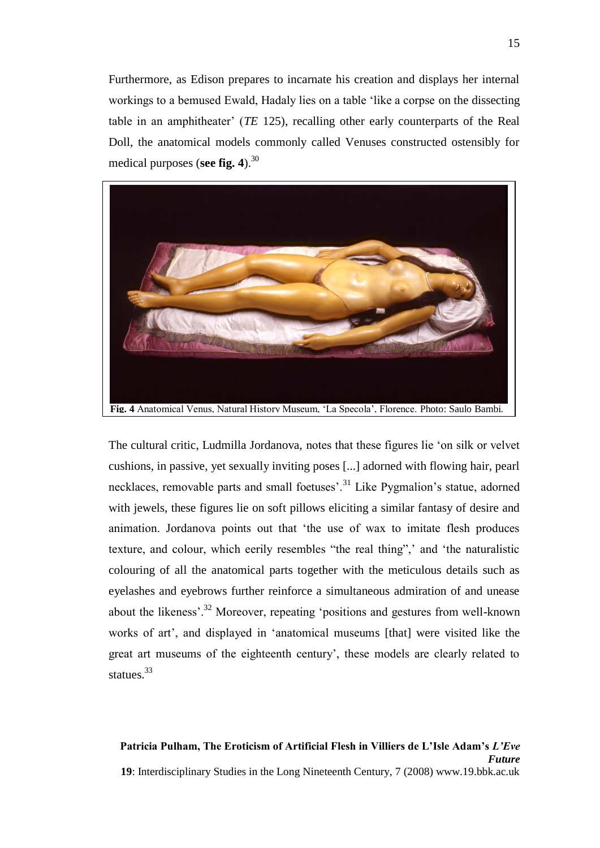Furthermore, as Edison prepares to incarnate his creation and displays her internal workings to a bemused Ewald, Hadaly lies on a table 'like a corpse on the dissecting table in an amphitheater' (*TE* 125), recalling other early counterparts of the Real Doll, the anatomical models commonly called Venuses constructed ostensibly for medical purposes (**see fig. 4**).<sup>30</sup>



The cultural critic, Ludmilla Jordanova, notes that these figures lie ‗on silk or velvet cushions, in passive, yet sexually inviting poses [...] adorned with flowing hair, pearl necklaces, removable parts and small foetuses'.<sup>31</sup> Like Pygmalion's statue, adorned with jewels, these figures lie on soft pillows eliciting a similar fantasy of desire and animation. Jordanova points out that 'the use of wax to imitate flesh produces texture, and colour, which eerily resembles "the real thing",' and 'the naturalistic colouring of all the anatomical parts together with the meticulous details such as eyelashes and eyebrows further reinforce a simultaneous admiration of and unease about the likeness'.<sup>32</sup> Moreover, repeating 'positions and gestures from well-known works of art', and displayed in 'anatomical museums [that] were visited like the great art museums of the eighteenth century', these models are clearly related to statues.<sup>33</sup>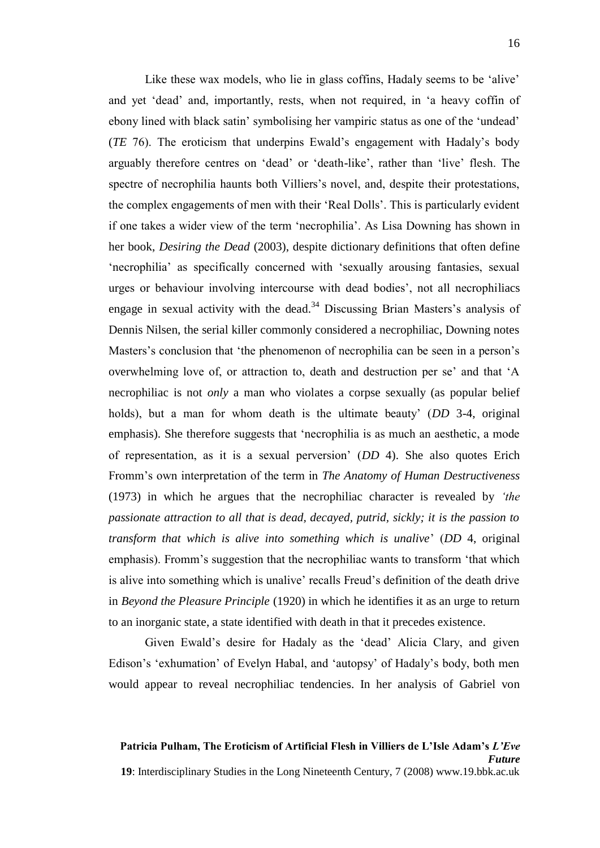Like these wax models, who lie in glass coffins, Hadaly seems to be 'alive' and yet 'dead' and, importantly, rests, when not required, in 'a heavy coffin of ebony lined with black satin' symbolising her vampiric status as one of the 'undead' (*TE* 76). The eroticism that underpins Ewald's engagement with Hadaly's body arguably therefore centres on 'dead' or 'death-like', rather than 'live' flesh. The spectre of necrophilia haunts both Villiers's novel, and, despite their protestations, the complex engagements of men with their 'Real Dolls'. This is particularly evident if one takes a wider view of the term 'necrophilia'. As Lisa Downing has shown in her book, *Desiring the Dead* (2003), despite dictionary definitions that often define ‗necrophilia' as specifically concerned with ‗sexually arousing fantasies, sexual urges or behaviour involving intercourse with dead bodies', not all necrophiliacs engage in sexual activity with the dead.<sup>34</sup> Discussing Brian Masters's analysis of Dennis Nilsen, the serial killer commonly considered a necrophiliac, Downing notes Masters's conclusion that 'the phenomenon of necrophilia can be seen in a person's overwhelming love of, or attraction to, death and destruction per se' and that 'A necrophiliac is not *only* a man who violates a corpse sexually (as popular belief holds), but a man for whom death is the ultimate beauty' (*DD* 3-4, original emphasis). She therefore suggests that 'necrophilia is as much an aesthetic, a mode of representation, as it is a sexual perversion' (*DD* 4). She also quotes Erich Fromm's own interpretation of the term in *The Anatomy of Human Destructiveness* (1973) in which he argues that the necrophiliac character is revealed by *'the passionate attraction to all that is dead, decayed, putrid, sickly; it is the passion to transform that which is alive into something which is unalive*' (*DD* 4, original emphasis). Fromm's suggestion that the necrophiliac wants to transform 'that which is alive into something which is unalive' recalls Freud's definition of the death drive in *Beyond the Pleasure Principle* (1920) in which he identifies it as an urge to return to an inorganic state, a state identified with death in that it precedes existence.

Given Ewald's desire for Hadaly as the 'dead' Alicia Clary, and given Edison's 'exhumation' of Evelyn Habal, and 'autopsy' of Hadaly's body, both men would appear to reveal necrophiliac tendencies. In her analysis of Gabriel von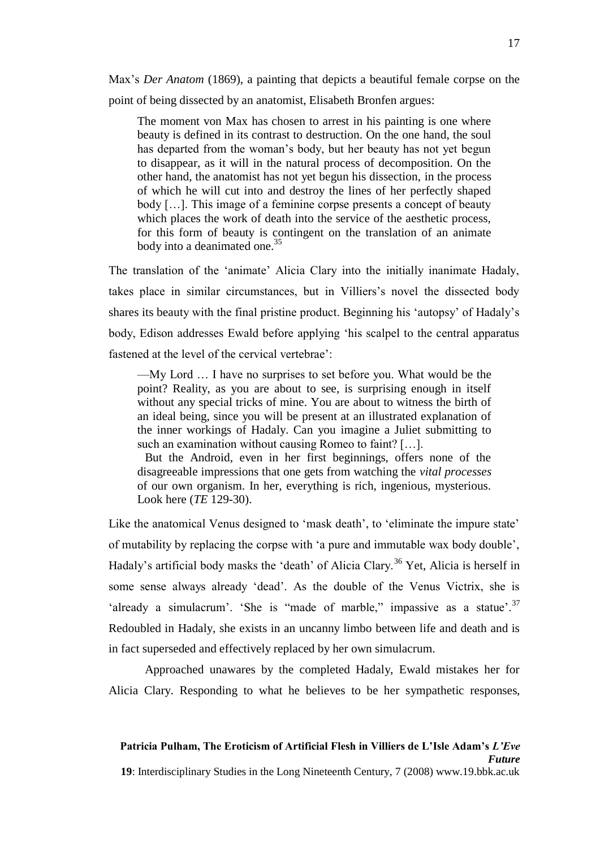Max's *Der Anatom* (1869), a painting that depicts a beautiful female corpse on the point of being dissected by an anatomist, Elisabeth Bronfen argues:

The moment von Max has chosen to arrest in his painting is one where beauty is defined in its contrast to destruction. On the one hand, the soul has departed from the woman's body, but her beauty has not yet begun to disappear, as it will in the natural process of decomposition. On the other hand, the anatomist has not yet begun his dissection, in the process of which he will cut into and destroy the lines of her perfectly shaped body […]. This image of a feminine corpse presents a concept of beauty which places the work of death into the service of the aesthetic process, for this form of beauty is contingent on the translation of an animate body into a deanimated one.<sup>35</sup>

The translation of the 'animate' Alicia Clary into the initially inanimate Hadaly, takes place in similar circumstances, but in Villiers's novel the dissected body shares its beauty with the final pristine product. Beginning his 'autopsy' of Hadaly's body, Edison addresses Ewald before applying 'his scalpel to the central apparatus fastened at the level of the cervical vertebrae':

—My Lord … I have no surprises to set before you. What would be the point? Reality, as you are about to see, is surprising enough in itself without any special tricks of mine. You are about to witness the birth of an ideal being, since you will be present at an illustrated explanation of the inner workings of Hadaly. Can you imagine a Juliet submitting to such an examination without causing Romeo to faint? [...].

But the Android, even in her first beginnings, offers none of the disagreeable impressions that one gets from watching the *vital processes* of our own organism. In her, everything is rich, ingenious, mysterious. Look here (*TE* 129-30).

Like the anatomical Venus designed to 'mask death', to 'eliminate the impure state' of mutability by replacing the corpse with ‗a pure and immutable wax body double', Hadaly's artificial body masks the 'death' of Alicia Clary.<sup>36</sup> Yet, Alicia is herself in some sense always already 'dead'. As the double of the Venus Victrix, she is 'already a simulacrum'. 'She is "made of marble," impassive as a statue'.<sup>37</sup> Redoubled in Hadaly, she exists in an uncanny limbo between life and death and is in fact superseded and effectively replaced by her own simulacrum.

Approached unawares by the completed Hadaly, Ewald mistakes her for Alicia Clary. Responding to what he believes to be her sympathetic responses,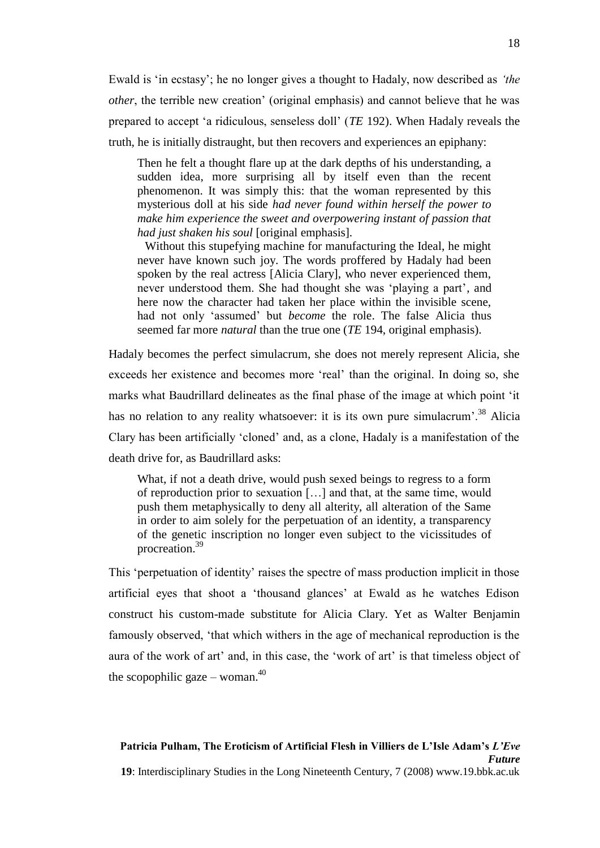Ewald is 'in ecstasy'; he no longer gives a thought to Hadaly, now described as *'the other*, the terrible new creation' (original emphasis) and cannot believe that he was prepared to accept ‗a ridiculous, senseless doll' (*TE* 192). When Hadaly reveals the truth, he is initially distraught, but then recovers and experiences an epiphany:

Then he felt a thought flare up at the dark depths of his understanding, a sudden idea, more surprising all by itself even than the recent phenomenon. It was simply this: that the woman represented by this mysterious doll at his side *had never found within herself the power to make him experience the sweet and overpowering instant of passion that had just shaken his soul* [original emphasis].

Without this stupefying machine for manufacturing the Ideal, he might never have known such joy. The words proffered by Hadaly had been spoken by the real actress [Alicia Clary], who never experienced them, never understood them. She had thought she was 'playing a part', and here now the character had taken her place within the invisible scene, had not only 'assumed' but *become* the role. The false Alicia thus seemed far more *natural* than the true one (*TE* 194, original emphasis).

Hadaly becomes the perfect simulacrum, she does not merely represent Alicia, she exceeds her existence and becomes more 'real' than the original. In doing so, she marks what Baudrillard delineates as the final phase of the image at which point 'it has no relation to any reality whatsoever: it is its own pure simulacrum'.<sup>38</sup> Alicia Clary has been artificially 'cloned' and, as a clone, Hadaly is a manifestation of the death drive for, as Baudrillard asks:

What, if not a death drive, would push sexed beings to regress to a form of reproduction prior to sexuation […] and that, at the same time, would push them metaphysically to deny all alterity, all alteration of the Same in order to aim solely for the perpetuation of an identity, a transparency of the genetic inscription no longer even subject to the vicissitudes of procreation.<sup>39</sup>

This 'perpetuation of identity' raises the spectre of mass production implicit in those artificial eyes that shoot a 'thousand glances' at Ewald as he watches Edison construct his custom-made substitute for Alicia Clary. Yet as Walter Benjamin famously observed, 'that which withers in the age of mechanical reproduction is the aura of the work of art' and, in this case, the 'work of art' is that timeless object of the scopophilic gaze – woman.<sup>40</sup>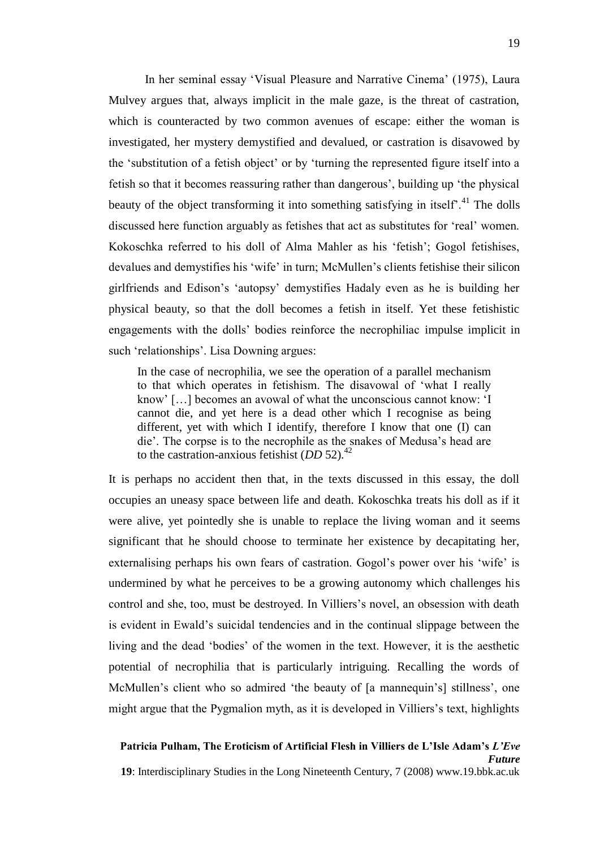In her seminal essay ‗Visual Pleasure and Narrative Cinema' (1975), Laura Mulvey argues that, always implicit in the male gaze, is the threat of castration, which is counteracted by two common avenues of escape: either the woman is investigated, her mystery demystified and devalued, or castration is disavowed by the 'substitution of a fetish object' or by 'turning the represented figure itself into a fetish so that it becomes reassuring rather than dangerous', building up 'the physical beauty of the object transforming it into something satisfying in itself<sup> $1$ </sup>.<sup>41</sup> The dolls discussed here function arguably as fetishes that act as substitutes for 'real' women. Kokoschka referred to his doll of Alma Mahler as his 'fetish'; Gogol fetishises, devalues and demystifies his 'wife' in turn; McMullen's clients fetishise their silicon girlfriends and Edison's ‗autopsy' demystifies Hadaly even as he is building her physical beauty, so that the doll becomes a fetish in itself. Yet these fetishistic engagements with the dolls' bodies reinforce the necrophiliac impulse implicit in such 'relationships'. Lisa Downing argues:

In the case of necrophilia, we see the operation of a parallel mechanism to that which operates in fetishism. The disavowal of 'what I really know' [...] becomes an avowal of what the unconscious cannot know: 'I cannot die, and yet here is a dead other which I recognise as being different, yet with which I identify, therefore I know that one (I) can die'. The corpse is to the necrophile as the snakes of Medusa's head are to the castration-anxious fetishist  $(DD 52)^{42}$ 

It is perhaps no accident then that, in the texts discussed in this essay, the doll occupies an uneasy space between life and death. Kokoschka treats his doll as if it were alive, yet pointedly she is unable to replace the living woman and it seems significant that he should choose to terminate her existence by decapitating her, externalising perhaps his own fears of castration. Gogol's power over his 'wife' is undermined by what he perceives to be a growing autonomy which challenges his control and she, too, must be destroyed. In Villiers's novel, an obsession with death is evident in Ewald's suicidal tendencies and in the continual slippage between the living and the dead ‗bodies' of the women in the text. However, it is the aesthetic potential of necrophilia that is particularly intriguing. Recalling the words of McMullen's client who so admired 'the beauty of [a mannequin's] stillness', one might argue that the Pygmalion myth, as it is developed in Villiers's text, highlights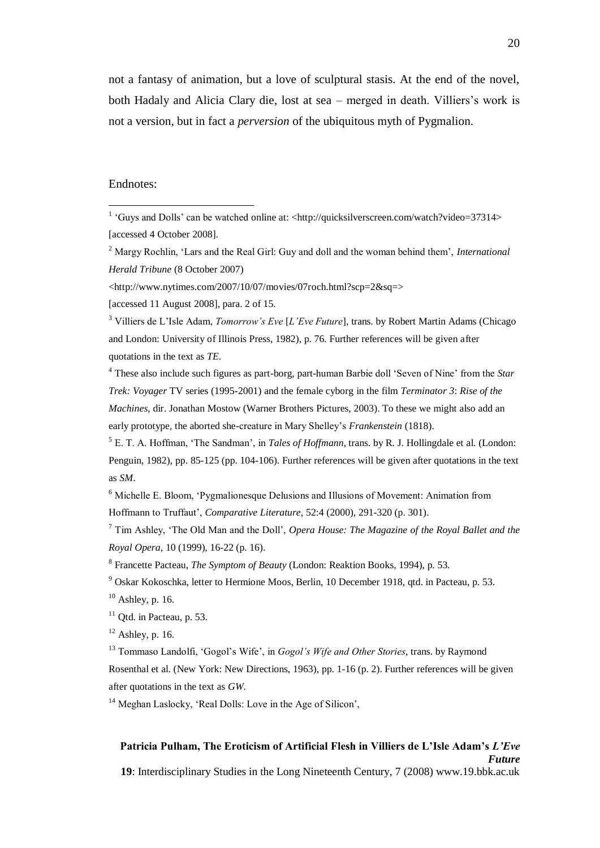not a fantasy of animation, but a love of sculptural stasis. At the end of the novel, both Hadaly and Alicia Clary die, lost at sea – merged in death. Villiers's work is not a version, but in fact a *perversion* of the ubiquitous myth of Pygmalion.

## Endnotes:

 $\overline{a}$ 

<sup>2</sup> Margy Rochlin, ‗Lars and the Real Girl: Guy and doll and the woman behind them', *International Herald Tribune* (8 October 2007)

[accessed 11 August 2008], para. 2 of 15.

<sup>3</sup> Villiers de L'Isle Adam, *Tomorrow's Eve* [*L'Eve Future*], trans. by Robert Martin Adams (Chicago and London: University of Illinois Press, 1982), p. 76. Further references will be given after quotations in the text as *TE*.

<sup>4</sup> These also include such figures as part-borg, part-human Barbie doll 'Seven of Nine' from the *Star Trek: Voyager* TV series (1995-2001) and the female cyborg in the film *Terminator 3*: *Rise of the Machines*, dir. Jonathan Mostow (Warner Brothers Pictures, 2003). To these we might also add an early prototype, the aborted she-creature in Mary Shelley's *Frankenstein* (1818).

<sup>5</sup> E. T. A. Hoffman, 'The Sandman', in *Tales of Hoffmann*, trans. by R. J. Hollingdale et al. (London: Penguin, 1982), pp. 85-125 (pp. 104-106). Further references will be given after quotations in the text as *SM*.

<sup>6</sup> Michelle E. Bloom, 'Pygmalionesque Delusions and Illusions of Movement: Animation from Hoffmann to Truffaut', *Comparative Literature,* 52:4 (2000), 291-320 (p. 301).

<sup>7</sup> Tim Ashley, 'The Old Man and the Doll', *Opera House: The Magazine of the Royal Ballet and the Royal Opera*, 10 (1999), 16-22 (p. 16).

 $12$  Ashley, p. 16.

<sup>13</sup> Tommaso Landolfi, 'Gogol's Wife', in *Gogol's Wife and Other Stories*, trans. by Raymond Rosenthal et al. (New York: New Directions, 1963), pp. 1-16 (p. 2). Further references will be given after quotations in the text as *GW*.

<sup>14</sup> Meghan Laslocky, 'Real Dolls: Love in the Age of Silicon',

### **Patricia Pulham, The Eroticism of Artificial Flesh in Villiers de L'Isle Adam's** *L'Eve Future*

**19**: Interdisciplinary Studies in the Long Nineteenth Century, 7 (2008) www.19.bbk.ac.uk

<sup>&</sup>lt;sup>1</sup> 'Guys and Dolls' can be watched online at: <http://quicksilverscreen.com/watch?video=37314> [accessed 4 October 2008].

<sup>&</sup>lt;http://www.nytimes.com/2007/10/07/movies/07roch.html?scp=2&sq=>

<sup>8</sup> Francette Pacteau, *The Symptom of Beauty* (London: Reaktion Books, 1994), p. 53.

<sup>9</sup> Oskar Kokoschka, letter to Hermione Moos, Berlin, 10 December 1918, qtd. in Pacteau, p. 53.  $10$  Ashley, p. 16.

 $11$  Qtd. in Pacteau, p. 53.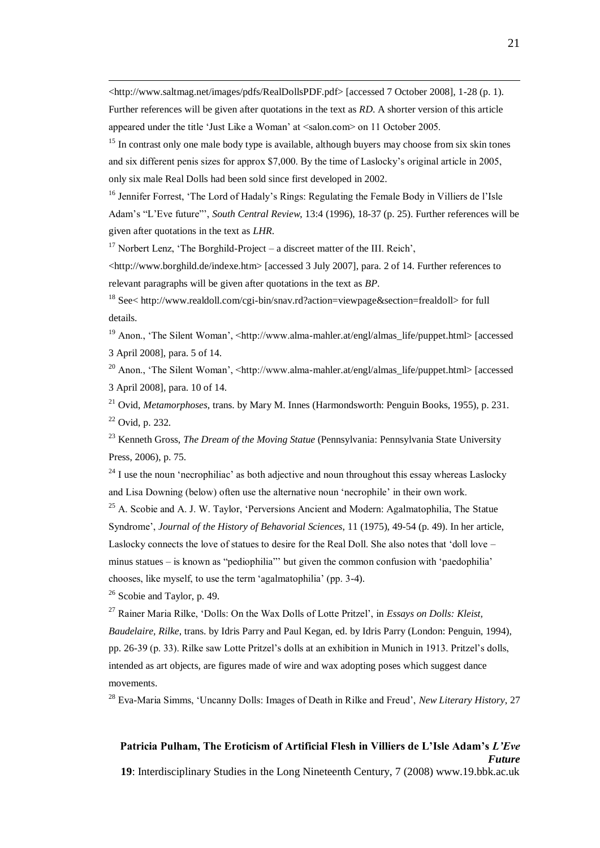<http://www.saltmag.net/images/pdfs/RealDollsPDF.pdf> [accessed 7 October 2008], 1-28 (p. 1). Further references will be given after quotations in the text as *RD*. A shorter version of this article appeared under the title 'Just Like a Woman' at <salon.com> on 11 October 2005.

<sup>15</sup> In contrast only one male body type is available, although buyers may choose from six skin tones and six different penis sizes for approx \$7,000. By the time of Laslocky's original article in 2005, only six male Real Dolls had been sold since first developed in 2002.

<sup>16</sup> Jennifer Forrest, 'The Lord of Hadaly's Rings: Regulating the Female Body in Villiers de l'Isle Adam's "L'Eve future"', *South Central Review*, 13:4 (1996), 18-37 (p. 25). Further references will be given after quotations in the text as *LHR*.

<sup>17</sup> Norbert Lenz, 'The Borghild-Project – a discreet matter of the III. Reich',

<http://www.borghild.de/indexe.htm> [accessed 3 July 2007], para. 2 of 14. Further references to relevant paragraphs will be given after quotations in the text as *BP*.

<sup>18</sup> See< http://www.realdoll.com/cgi-bin/snav.rd?action=viewpage&section=frealdoll> for full details.

<sup>19</sup> Anon., 'The Silent Woman', <http://www.alma-mahler.at/engl/almas\_life/puppet.html> [accessed 3 April 2008], para. 5 of 14.

<sup>20</sup> Anon., 'The Silent Woman', <http://www.alma-mahler.at/engl/almas\_life/puppet.html> [accessed] 3 April 2008], para. 10 of 14.

<sup>21</sup> Ovid, *Metamorphoses*, trans. by Mary M. Innes (Harmondsworth: Penguin Books, 1955), p. 231.  $22$  Ovid, p. 232.

<sup>23</sup> Kenneth Gross, *The Dream of the Moving Statue* (Pennsylvania: Pennsylvania State University Press, 2006), p. 75.

 $^{24}$  I use the noun 'necrophiliac' as both adjective and noun throughout this essay whereas Laslocky and Lisa Downing (below) often use the alternative noun 'necrophile' in their own work.

<sup>25</sup> A. Scobie and A. J. W. Taylor, *'Perversions Ancient and Modern: Agalmatophilia*, The Statue Syndrome', *Journal of the History of Behavorial Sciences*, 11 (1975), 49-54 (p. 49). In her article, Laslocky connects the love of statues to desire for the Real Doll. She also notes that 'doll love – minus statues – is known as "pediophilia" but given the common confusion with 'paedophilia' chooses, like myself, to use the term 'agalmatophilia' (pp. 3-4).

<sup>26</sup> Scobie and Taylor, p. 49.

 $\overline{a}$ 

<sup>27</sup> Rainer Maria Rilke, 'Dolls: On the Wax Dolls of Lotte Pritzel', in *Essays on Dolls: Kleist*, *Baudelaire, Rilke*, trans. by Idris Parry and Paul Kegan, ed. by Idris Parry (London: Penguin, 1994), pp. 26-39 (p. 33). Rilke saw Lotte Pritzel's dolls at an exhibition in Munich in 1913. Pritzel's dolls, intended as art objects, are figures made of wire and wax adopting poses which suggest dance movements.

<sup>28</sup> Eva-Maria Simms, 'Uncanny Dolls: Images of Death in Rilke and Freud', *New Literary History*, 27

#### **Patricia Pulham, The Eroticism of Artificial Flesh in Villiers de L'Isle Adam's** *L'Eve Future*

**19**: Interdisciplinary Studies in the Long Nineteenth Century, 7 (2008) www.19.bbk.ac.uk